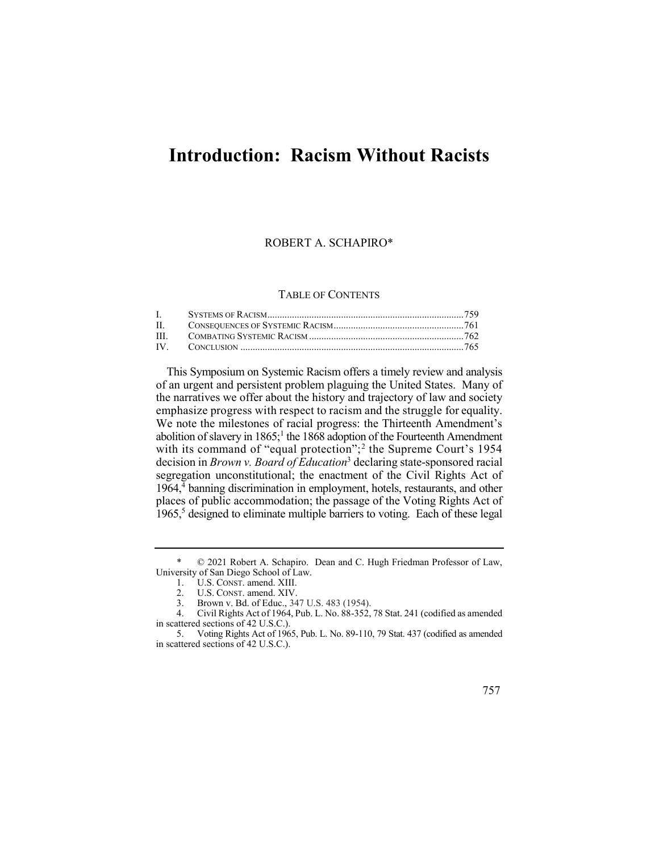# **Introduction: Racism Without Racists**

## ROBERT A. SCHAPIRO\*

#### TABLE OF CONTENTS

abolition of slavery in  $1865$ ;<sup>1</sup> the 1868 adoption of the Fourteenth Amendment with its command of "equal protection";<sup>2</sup> the Supreme Court's 1954 decision in *Brown v. Board of Education*3 declaring state-sponsored racial 1964,<sup>4</sup> banning discrimination in employment, hotels, restaurants, and other  $1965$ ,<sup>5</sup> designed to eliminate multiple barriers to voting. Each of these legal This Symposium on Systemic Racism offers a timely review and analysis of an urgent and persistent problem plaguing the United States. Many of the narratives we offer about the history and trajectory of law and society emphasize progress with respect to racism and the struggle for equality. We note the milestones of racial progress: the Thirteenth Amendment's segregation unconstitutional; the enactment of the Civil Rights Act of places of public accommodation; the passage of the Voting Rights Act of

 5. Voting Rights Act of 1965, Pub. L. No. 89-110, 79 Stat. 437 (codified as amended in scattered sections of 42 U.S.C.).



 \* © 2021 Robert A. Schapiro. Dean and C. Hugh Friedman Professor of Law, University of San Diego School of Law.

<sup>1.</sup> U.S. CONST. amend. XIII.

<sup>2.</sup> U.S. CONST. amend. XIV.

 3. Brown v. Bd. of Educ., 347 U.S. 483 (1954).

 4. Civil Rights Act of 1964, Pub. L. No. 88-352, 78 Stat. 241 (codified as amended in scattered sections of 42 U.S.C.).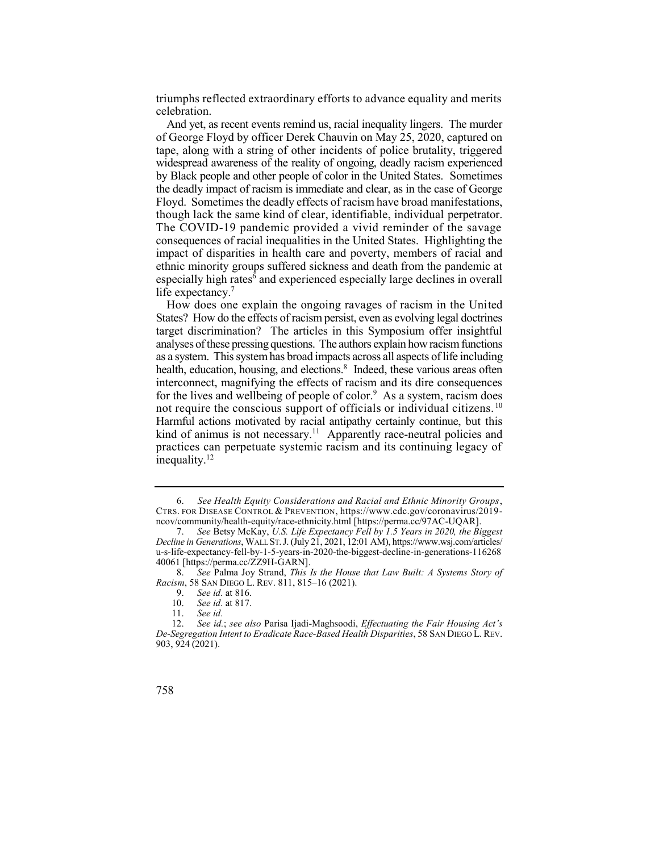triumphs reflected extraordinary efforts to advance equality and merits celebration.

 And yet, as recent events remind us, racial inequality lingers. The murder of George Floyd by officer Derek Chauvin on May 25, 2020, captured on tape, along with a string of other incidents of police brutality, triggered widespread awareness of the reality of ongoing, deadly racism experienced by Black people and other people of color in the United States. Sometimes the deadly impact of racism is immediate and clear, as in the case of George Floyd. Sometimes the deadly effects of racism have broad manifestations, though lack the same kind of clear, identifiable, individual perpetrator. The COVID-19 pandemic provided a vivid reminder of the savage consequences of racial inequalities in the United States. Highlighting the impact of disparities in health care and poverty, members of racial and ethnic minority groups suffered sickness and death from the pandemic at especially high rates<sup>6</sup> and experienced especially large declines in overall life expectancy.<sup>7</sup>

 How does one explain the ongoing ravages of racism in the United States? How do the effects of racism persist, even as evolving legal doctrines health, education, housing, and elections.<sup>8</sup> Indeed, these various areas often for the lives and wellbeing of people of color. $9$  As a system, racism does not require the conscious support of officials or individual [citizens.](https://citizens.10)  $^{10}$ kind of animus is not necessary.<sup>11</sup> Apparently race-neutral policies and target discrimination? The articles in this Symposium offer insightful analyses of these pressing questions. The authors explain how racism functions as a system. This system has broad impacts across all aspects of life including interconnect, magnifying the effects of racism and its dire consequences Harmful actions motivated by racial antipathy certainly continue, but this practices can perpetuate systemic racism and its continuing legacy of [inequality.12](https://inequality.12) 

 8. *See* Palma Joy Strand, *This Is the House that Law Built: A Systems Story of Racism*, 58 SAN DIEGO L. REV. 811, 815–16 (2021).

 6. *See Health Equity Considerations and Racial and Ethnic Minority Groups*, CTRS. FOR DISEASE CONTROL & PREVENTION,<https://www.cdc.gov/coronavirus/2019> ncov/community/health-equity/race-ethnicity.html [<https://perma.cc/97AC-UQAR>].

 7. *See* Betsy McKay, *U.S. Life Expectancy Fell by 1.5 Years in 2020, the Biggest Decline in Generations*, WALL ST. J. (July 21, 2021, 12:01 AM), [https://www.wsj.com/articles/](https://www.wsj.com/articles) u-s-life-expectancy-fell-by-1-5-years-in-2020-the-biggest-decline-in-generations-116268 40061 [<https://perma.cc/ZZ9H-GARN>].<br>8. See Palma Jov Strand. This

 9. *See id.* at 816.

<sup>10.</sup> *See id.* at 817.

<sup>11.</sup> *See id.* 

 12. *See id.*; *see also* Parisa Ijadi-Maghsoodi, *Effectuating the Fair Housing Act's De-Segregation Intent to Eradicate Race-Based Health Disparities*, 58 SAN DIEGO L. REV. 903, 924 (2021).

<sup>758</sup>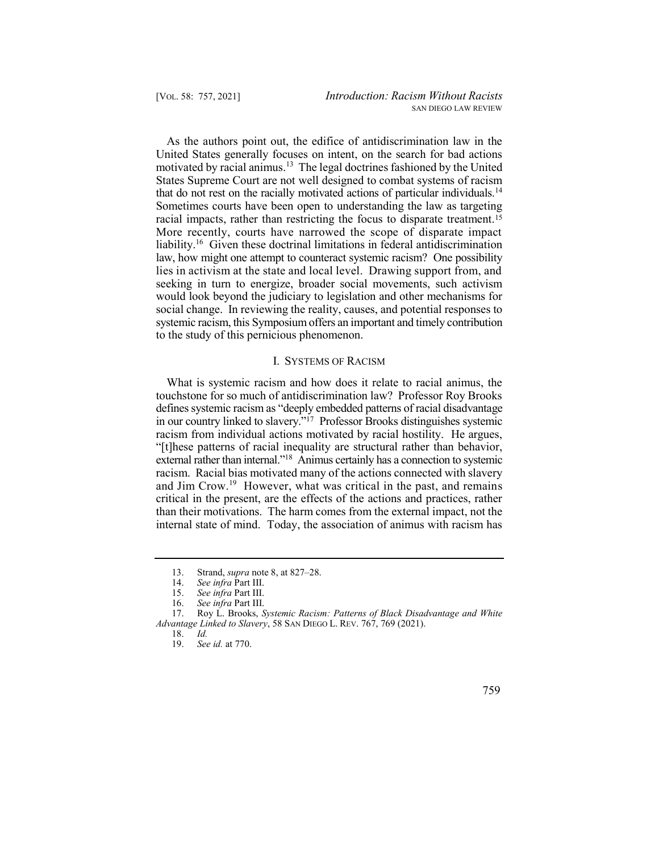motivated by racial animus.<sup>13</sup> The legal doctrines fashioned by the United that do not rest on the racially motivated actions of particular individuals.<sup>14</sup> More recently, courts have narrowed the scope of disparate impact liability.<sup>16</sup> Given these doctrinal limitations in federal antidiscrimination As the authors point out, the edifice of antidiscrimination law in the United States generally focuses on intent, on the search for bad actions States Supreme Court are not well designed to combat systems of racism Sometimes courts have been open to understanding the law as targeting racial impacts, rather than restricting the focus to disparate [treatment.15](https://treatment.15) law, how might one attempt to counteract systemic racism? One possibility lies in activism at the state and local level. Drawing support from, and seeking in turn to energize, broader social movements, such activism would look beyond the judiciary to legislation and other mechanisms for social change. In reviewing the reality, causes, and potential responses to systemic racism, this Symposium offers an important and timely contribution to the study of this pernicious phenomenon.

## I. SYSTEMS OF RACISM

 What is systemic racism and how does it relate to racial animus, the touchstone for so much of antidiscrimination law? Professor Roy Brooks in our country linked to slavery."17 Professor Brooks distinguishes systemic external rather than internal."<sup>18</sup> Animus certainly has a connection to systemic and Jim Crow.<sup>19</sup> However, what was critical in the past, and remains defines systemic racism as "deeply embedded patterns of racial disadvantage racism from individual actions motivated by racial hostility. He argues, "[t]hese patterns of racial inequality are structural rather than behavior, racism. Racial bias motivated many of the actions connected with slavery critical in the present, are the effects of the actions and practices, rather than their motivations. The harm comes from the external impact, not the internal state of mind. Today, the association of animus with racism has



 13. Strand, *supra* note 8, at 827–28.

 14. *See infra* Part III.

 15. *See infra* Part III.

 16. *See infra* Part III.

 17. Roy L. Brooks, *Systemic Racism: Patterns of Black Disadvantage and White Advantage Linked to Slavery*, 58 SAN DIEGO L. REV. 767, 769 (2021).<br>18. *Id.* 

<sup>18.</sup> *Id.* 

<sup>19.</sup> *See id.* at 770.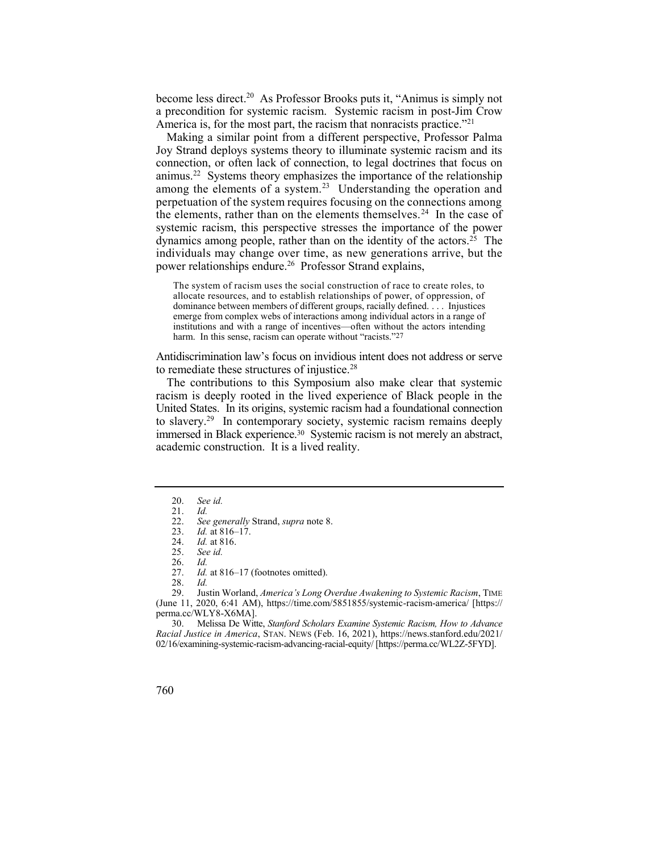become less direct.<sup>20</sup> As Professor Brooks puts it, "Animus is simply not a precondition for systemic racism. Systemic racism in post-Jim Crow America is, for the most part, the racism that nonracists practice."<sup>21</sup>

 Making a similar point from a different perspective, Professor Palma animus.<sup>22</sup> Systems theory emphasizes the importance of the relationship among the elements of a system.<sup>23</sup> Understanding the operation and the elements, rather than on the elements themselves.<sup>24</sup> In the case of dynamics among people, rather than on the identity of the [actors.25](https://actors.25) The power relationships endure.<sup>26</sup> Professor Strand explains, Joy Strand deploys systems theory to illuminate systemic racism and its connection, or often lack of connection, to legal doctrines that focus on perpetuation of the system requires focusing on the connections among systemic racism, this perspective stresses the importance of the power individuals may change over time, as new generations arrive, but the

 The system of racism uses the social construction of race to create roles, to allocate resources, and to establish relationships of power, of oppression, of dominance between members of different groups, racially defined. . . . Injustices emerge from complex webs of interactions among individual actors in a range of institutions and with a range of incentives—often without the actors intending harm. In this sense, racism can operate without "racists."<sup>27</sup>

to remediate these structures of injustice.<sup>28</sup> Antidiscrimination law's focus on invidious intent does not address or serve

 The contributions to this Symposium also make clear that systemic racism is deeply rooted in the lived experience of Black people in the to [slavery.29](https://slavery.29) In contemporary society, systemic racism remains deeply immersed in Black [experience.30](https://experience.30) Systemic racism is not merely an abstract, United States. In its origins, systemic racism had a foundational connection academic construction. It is a lived reality.

 29. Justin Worland, *America's Long Overdue Awakening to Systemic Racism*, TIME (June 11, 2020, 6:41 AM), <https://time.com/5851855/systemic-racism-america>/ [https:// perma.cc/WLY8-X6MA].

 30. Melissa De Witte, *Stanford Scholars Examine Systemic Racism, How to Advance Racial Justice in America*, STAN. NEWS (Feb. 16, 2021), [https://news.stanford.edu/2021/](https://news.stanford.edu/2021) 02/16/examining-systemic-racism-advancing-racial-equity/ [\[https://perma.cc/WL2Z-5FYD\]](https://perma.cc/WL2Z-5FYD).

<sup>20.</sup> *See id.* 

<sup>21.</sup> *Id.* 

 22. *See generally* Strand, *supra* note 8.

<sup>23.</sup> *Id.* at 816–17.<br>24. *Id.* at 816.

<sup>24.</sup> *Id.* at 816.

<sup>25.</sup> *See id.* 

<sup>26.</sup> *Id.* 

Id. at 816–17 (footnotes omitted).

<sup>28.</sup> *Id.* 

<sup>760</sup>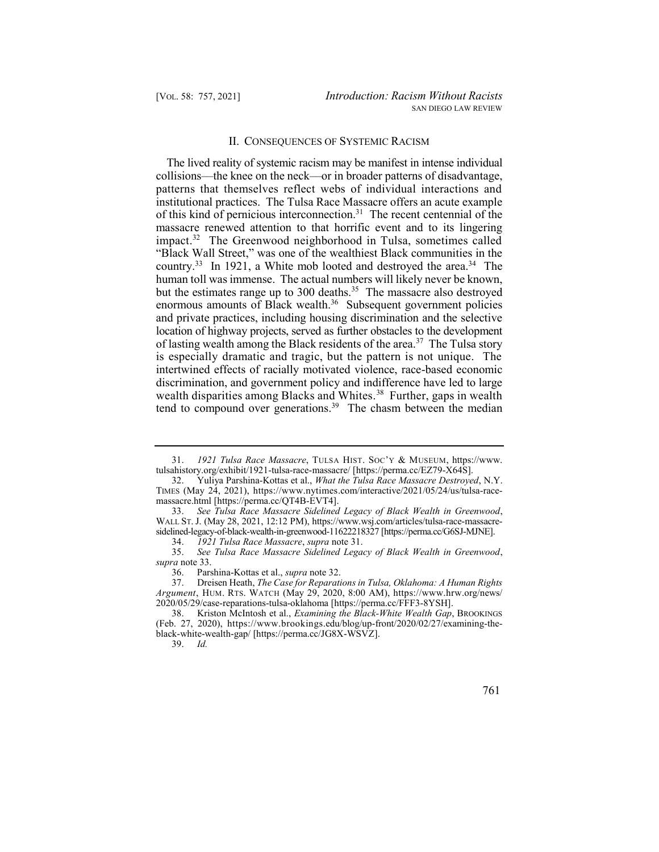## II. CONSEQUENCES OF SYSTEMIC RACISM

 The lived reality of systemic racism may be manifest in intense individual of this kind of pernicious interconnection.<sup>31</sup> The recent centennial of the impact.<sup>32</sup> The Greenwood neighborhood in Tulsa, sometimes called but the estimates range up to 300 deaths.<sup>35</sup> The massacre also destroyed enormous amounts of Black wealth.<sup>36</sup> Subsequent government policies of lasting wealth among the Black residents of the area.<sup>37</sup> The Tulsa story wealth disparities among Blacks and Whites.<sup>38</sup> Further, gaps in wealth tend to compound over generations.<sup>39</sup> The chasm between the median collisions––the knee on the neck––or in broader patterns of disadvantage, patterns that themselves reflect webs of individual interactions and institutional practices. The Tulsa Race Massacre offers an acute example massacre renewed attention to that horrific event and to its lingering "Black Wall Street," was one of the wealthiest Black communities in the country. 33 In 1921, a White mob looted and destroyed the area. 34 The human toll was immense. The actual numbers will likely never be known, and private practices, including housing discrimination and the selective location of highway projects, served as further obstacles to the development is especially dramatic and tragic, but the pattern is not unique. The intertwined effects of racially motivated violence, race-based economic discrimination, and government policy and indifference have led to large

39. *Id.* 

 31. *1921 Tulsa Race Massacre*, TULSA HIST. SOC'Y & MUSEUM, [https://www.](https://www) [tulsahistory.org/exhibit/1921-tulsa-race-massacre](https://tulsahistory.org/exhibit/1921-tulsa-race-massacre)/ [[https://perma.cc/EZ79-X64S\]](https://perma.cc/EZ79-X64S).<br>32. Yuliya Parshina-Kottas et al., What the Tulsa Race Massacre Destrove

 TIMES (May 24, 2021), <https://www.nytimes.com/interactive/2021/05/24/us/tulsa-race>-32. Yuliya Parshina-Kottas et al., *What the Tulsa Race Massacre Destroyed*, N.Y. massacre.html [[https://perma.cc/QT4B-EVT4\]](https://perma.cc/QT4B-EVT4).<br>33. See Tulsa Race Massacre Sidelined

 33. *See Tulsa Race Massacre Sidelined Legacy of Black Wealth in Greenwood*, WALL ST. J. (May 28, 2021, 12:12 PM), <https://www.wsj.com/articles/tulsa-race-massacre>sidelined-legacy-of-black-wealth-in-greenwood-11622218327 [\[https://perma.cc/G6SJ-MJNE\]](https://perma.cc/G6SJ-MJNE).

 34. *1921 Tulsa Race Massacre*, *supra* note 31.

 35. *See Tulsa Race Massacre Sidelined Legacy of Black Wealth in Greenwood*, *supra* note 33.

 36. Parshina-Kottas et al., *supra* note 32.

 *Argument*, HUM. RTS. WATCH (May 29, 2020, 8:00 AM), <https://www.hrw.org/news>/ 37. Dreisen Heath, *The Case for Reparations in Tulsa, Oklahoma: A Human Rights*  2020/05/29/case-reparations-tulsa-oklahoma [<https://perma.cc/FFF3-8YSH>].

 38. Kriston McIntosh et al., *Examining the Black-White Wealth Gap*, BROOKINGS (Feb. 27, 2020), <https://www.brookings.edu/blog/up-front/2020/02/27/examining-the>black-white-wealth-gap/ [\[https://perma.cc/JG8X-WSVZ](https://perma.cc/JG8X-WSVZ)].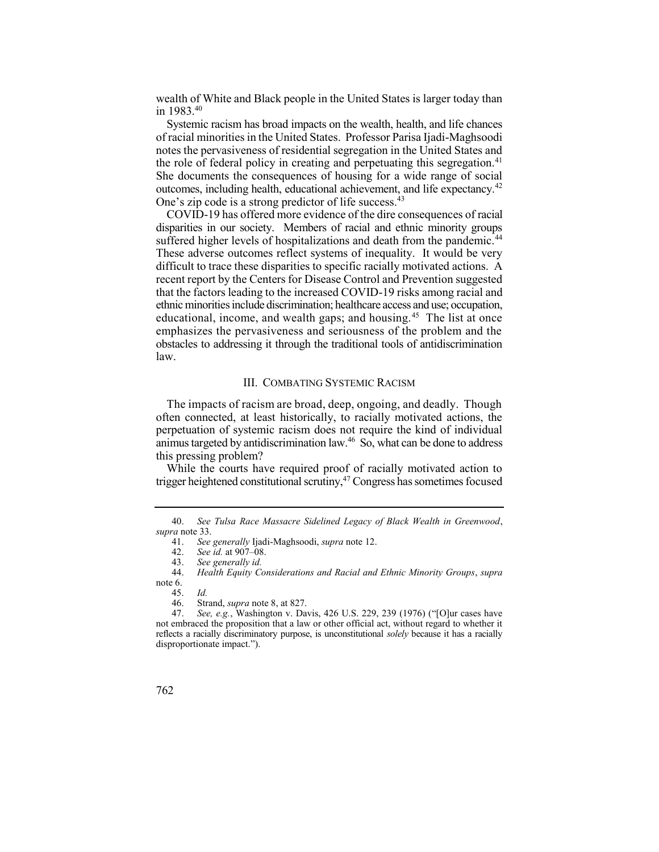wealth of White and Black people in the United States is larger today than in 1983.40

 Systemic racism has broad impacts on the wealth, health, and life chances the role of federal policy in creating and perpetuating this segregation.<sup>41</sup> outcomes, including health, educational achievement, and life [expectancy.42](https://expectancy.42) of racial minorities in the United States. Professor Parisa Ijadi-Maghsoodi notes the pervasiveness of residential segregation in the United States and She documents the consequences of housing for a wide range of social One's zip code is a strong predictor of life [success.](https://success.43)<sup>43</sup>

suffered higher levels of hospitalizations and death from the pandemic.<sup>44</sup> These adverse outcomes reflect systems of inequality. It would be very difficult to trace these disparities to specific racially motivated actions. A educational, income, and wealth gaps; and housing.<sup>45</sup> The list at once COVID-19 has offered more evidence of the dire consequences of racial disparities in our society. Members of racial and ethnic minority groups recent report by the Centers for Disease Control and Prevention suggested that the factors leading to the increased COVID-19 risks among racial and ethnic minorities include discrimination; healthcare access and use; occupation, emphasizes the pervasiveness and seriousness of the problem and the obstacles to addressing it through the traditional tools of antidiscrimination law.

## III. COMBATING SYSTEMIC RACISM

 The impacts of racism are broad, deep, ongoing, and deadly. Though animus targeted by antidiscrimination law.<sup>46</sup> So, what can be done to address often connected, at least historically, to racially motivated actions, the perpetuation of systemic racism does not require the kind of individual this pressing problem?

trigger heightened constitutional scrutiny,<sup>47</sup> Congress has sometimes focused While the courts have required proof of racially motivated action to

 40. *See Tulsa Race Massacre Sidelined Legacy of Black Wealth in Greenwood*, *supra* note 33.

<sup>41.</sup> *See generally* Ijadi-Maghsoodi, *supra* note 12.

<sup>42.</sup> *See id.* at 907–08.

<sup>43.</sup> *See generally id.* 

 44. *Health Equity Considerations and Racial and Ethnic Minority Groups*, *supra*  note 6.

 46. Strand, *supra* note 8, at 827. 45. *Id.* 

 47. *See, e.g.*, Washington v. Davis, 426 U.S. 229, 239 (1976) ("[O]ur cases have not embraced the proposition that a law or other official act, without regard to whether it reflects a racially discriminatory purpose, is unconstitutional *solely* because it has a racially disproportionate impact.").

<sup>762</sup>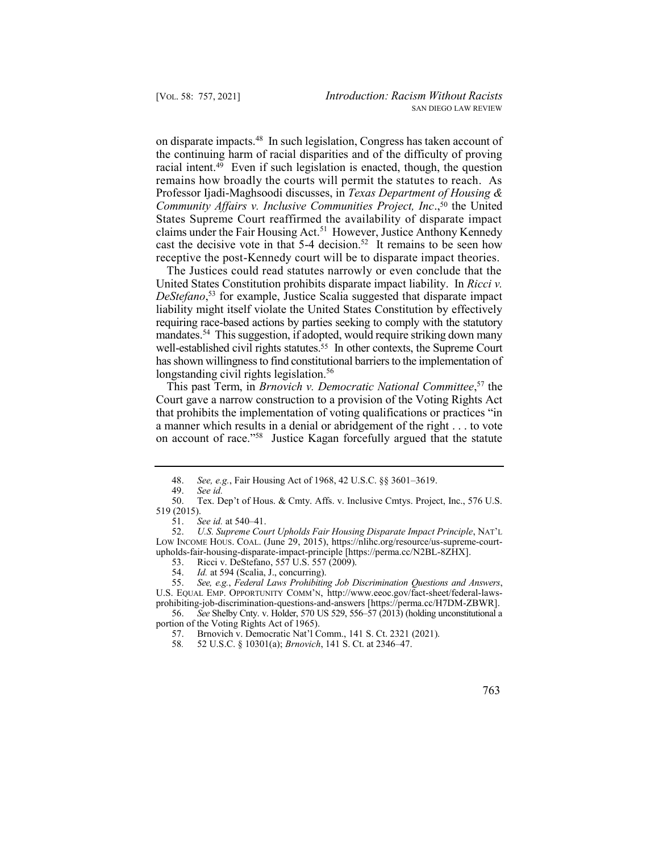on disparate impacts.<sup>48</sup> In such legislation, Congress has taken account of racial intent.<sup>49</sup> Even if such legislation is enacted, though, the question claims under the Fair Housing Act.<sup>51</sup> However, Justice Anthony Kennedy cast the decisive vote in that  $5-4$  decision.<sup>52</sup> It remains to be seen how the continuing harm of racial disparities and of the difficulty of proving remains how broadly the courts will permit the statutes to reach. As Professor Ijadi-Maghsoodi discusses, in *Texas Department of Housing & Community Affairs v. Inclusive Communities Project, Inc.*,<sup>50</sup> the United States Supreme Court reaffirmed the availability of disparate impact receptive the post-Kennedy court will be to disparate impact theories.

 The Justices could read statutes narrowly or even conclude that the requiring race-based actions by parties seeking to comply with the statutory mandates.<sup>54</sup> This suggestion, if adopted, would require striking down many United States Constitution prohibits disparate impact liability. In *Ricci v. DeStefano*, 53 for example, Justice Scalia suggested that disparate impact liability might itself violate the United States Constitution by effectively well-established civil rights statutes.<sup>55</sup> In other contexts, the Supreme Court has shown willingness to find constitutional barriers to the implementation of longstanding civil rights legislation.<sup>56</sup>

on account of race."<sup>58</sup> Justice Kagan forcefully argued that the statute This past Term, in *Brnovich v. Democratic National Committee*, 57 the Court gave a narrow construction to a provision of the Voting Rights Act that prohibits the implementation of voting qualifications or practices "in a manner which results in a denial or abridgement of the right . . . to vote

 48. *See, e.g.*, Fair Housing Act of 1968, 42 U.S.C. §§ 3601–3619.

<sup>49.</sup> *See id.* 

 50. Tex. Dep't of Hous. & Cmty. Affs. v. Inclusive Cmtys. Project, Inc., 576 U.S. 519 (2015).

 51. *See id.* at 540–41.

 52. *U.S. Supreme Court Upholds Fair Housing Disparate Impact Principle*, NAT'L LOW INCOME HOUS. COAL. (June 29, 2015), <https://nlihc.org/resource/us-supreme-court>upholds-fair-housing-disparate-impact-principle [[https://perma.cc/N2BL-8ZHX\]](https://perma.cc/N2BL-8ZHX).

 53. Ricci v. DeStefano, 557 U.S. 557 (2009).

 54. *Id.* at 594 (Scalia, J., concurring).

 55. *See, e.g.*, *Federal Laws Prohibiting Job Discrimination Questions and Answers*, U.S. EQUAL EMP. OPPORTUNITY COMM'N, <http://www.eeoc.gov/fact-sheet/federal-laws>prohibiting-job-discrimination-questions-and-answers [<https://perma.cc/H7DM-ZBWR>].

 56. *See* Shelby Cnty. v. Holder, 570 US 529, 556–57 (2013) (holding unconstitutional a portion of the Voting Rights Act of 1965).<br>57. Brnovich v. Democratic Nat'l C

 57. Brnovich v. Democratic Nat'l Comm., 141 S. Ct. 2321 (2021).

 58*.* 52 U.S.C. § 10301(a); *Brnovich*, 141 S. Ct. at 2346–47.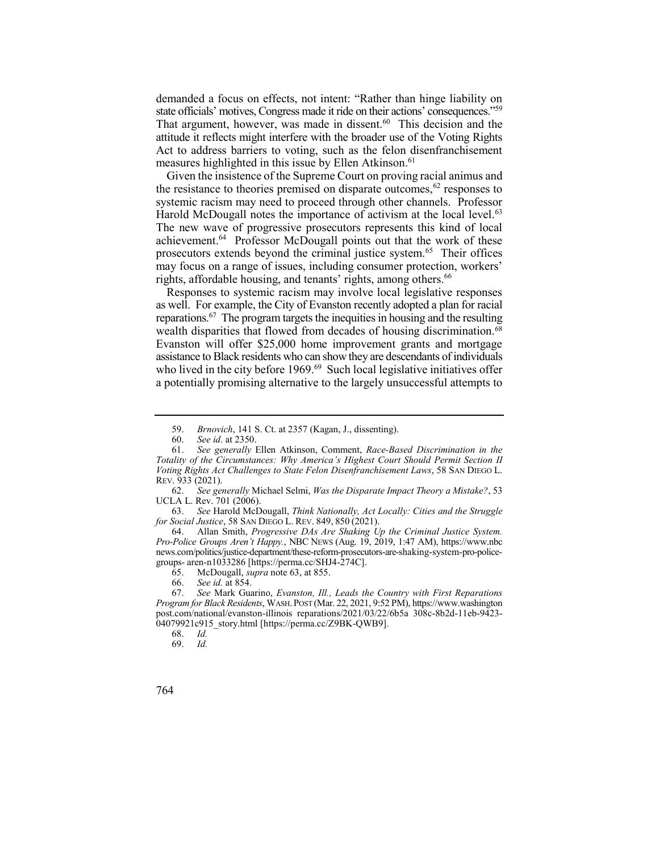state officials' motives, Congress made it ride on their actions' consequences."<sup>59</sup> That argument, however, was made in dissent. $60$  This decision and the demanded a focus on effects, not intent: "Rather than hinge liability on attitude it reflects might interfere with the broader use of the Voting Rights Act to address barriers to voting, such as the felon disenfranchisement measures highlighted in this issue by Ellen [Atkinson.](https://Atkinson.61) 61

the resistance to theories premised on disparate outcomes, $62$  responses to Harold McDougall notes the importance of activism at the local level.<sup>63</sup> The new wave of progressive prosecutors represents this kind of local achievement.<sup>64</sup> Professor McDougall points out that the work of these prosecutors extends beyond the criminal justice system.<sup>65</sup> Their offices Given the insistence of the Supreme Court on proving racial animus and systemic racism may need to proceed through other channels. Professor may focus on a range of issues, including consumer protection, workers' rights, affordable housing, and tenants' rights, among [others.](https://others.66)<sup>66</sup>

 Responses to systemic racism may involve local legislative responses as well. For example, the City of Evanston recently adopted a plan for racial reparations.<sup>67</sup> The program targets the inequities in housing and the resulting wealth disparities that flowed from decades of housing discrimination.<sup>68</sup> Evanston will offer \$25,000 home improvement grants and mortgage who lived in the city before  $1969.^{69}$  Such local legislative initiatives offer assistance to Black residents who can show they are descendants of individuals a potentially promising alternative to the largely unsuccessful attempts to

 63. *See* Harold McDougall, *Think Nationally, Act Locally: Cities and the Struggle for Social Justice*, 58 SAN DIEGO L. REV. 849, 850 (2021).

 64. Allan Smith, *Progressive DAs Are Shaking Up the Criminal Justice System. Pro-Police Groups Aren't Happy.*, NBC NEWS (Aug. 19, 2019, 1:47 AM), <https://www.nbc> [news.com/politics/justice-department/these-reform-prosecutors-are-shaking-system-pro-police](https://news.com/politics/justice-department/these-reform-prosecutors-are-shaking-system-pro-police)groups- aren-n1033286 [[https://perma.cc/SHJ4-274C\]](https://perma.cc/SHJ4-274C).<br>65. McDougall, *supra* note 63, at 855.

65. McDougall, *supra* note 63, at 855.

66. *See id.* at 854.

69. *Id.* 

 59. *Brnovich*, 141 S. Ct. at 2357 (Kagan, J., dissenting).

<sup>60.</sup> *See id.* at 2350.

 61. *See generally* Ellen Atkinson, Comment, *Race-Based Discrimination in the Totality of the Circumstances: Why America's Highest Court Should Permit Section II Voting Rights Act Challenges to State Felon Disenfranchisement Laws*, 58 SAN DIEGO L. REV. 933 (2021).

 62. *See generally* Michael Selmi, *Was the Disparate Impact Theory a Mistake?*, 53 UCLA L. Rev. 701 (2006).<br>63. See Harold McD

 67. *See* Mark Guarino, *Evanston, Ill., Leads the Country with First Reparations Program for Black Residents*, WASH.POST (Mar. 22, 2021, 9:52 PM),<https://www.washington> [post.com/national/evanston-illinois](https://post.com/national/evanston-illinois) reparations/2021/03/22/6b5a 308c-8b2d-11eb-9423-  $04079921c915$ \_story.html [<https://perma.cc/Z9BK-QWB9>].<br>68.  $Id$ .

<sup>68.</sup> *Id.*